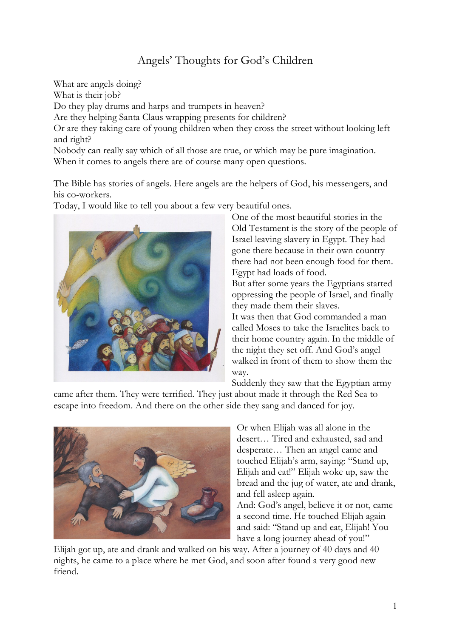## Angels' Thoughts for God's Children

What are angels doing? What is their job? Do they play drums and harps and trumpets in heaven? Are they helping Santa Claus wrapping presents for children? Or are they taking care of young children when they cross the street without looking left and right? Nobody can really say which of all those are true, or which may be pure imagination. When it comes to angels there are of course many open questions.

The Bible has stories of angels. Here angels are the helpers of God, his messengers, and his co-workers.

Today, I would like to tell you about a few very beautiful ones.



One of the most beautiful stories in the Old Testament is the story of the people of Israel leaving slavery in Egypt. They had gone there because in their own country there had not been enough food for them. Egypt had loads of food.

But after some years the Egyptians started oppressing the people of Israel, and finally they made them their slaves.

It was then that God commanded a man called Moses to take the Israelites back to their home country again. In the middle of the night they set off. And God's angel walked in front of them to show them the way.

Suddenly they saw that the Egyptian army

came after them. They were terrified. They just about made it through the Red Sea to escape into freedom. And there on the other side they sang and danced for joy.



Or when Elijah was all alone in the desert… Tired and exhausted, sad and desperate… Then an angel came and touched Elijah's arm, saying: "Stand up, Elijah and eat!" Elijah woke up, saw the bread and the jug of water, ate and drank, and fell asleep again.

And: God's angel, believe it or not, came a second time. He touched Elijah again and said: "Stand up and eat, Elijah! You have a long journey ahead of you!"

Elijah got up, ate and drank and walked on his way. After a journey of 40 days and 40 nights, he came to a place where he met God, and soon after found a very good new friend.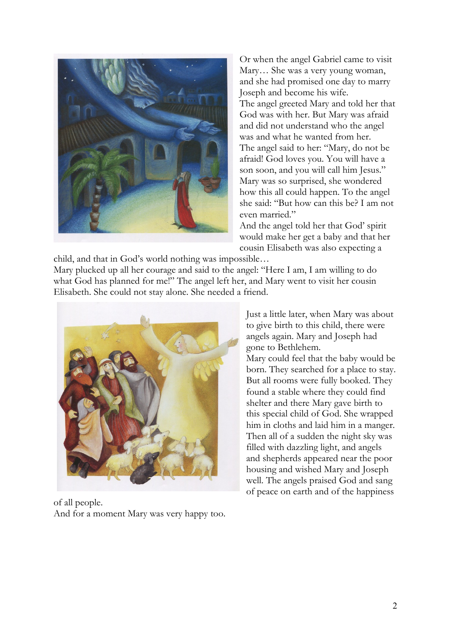

Or when the angel Gabriel came to visit Mary… She was a very young woman, and she had promised one day to marry Joseph and become his wife. The angel greeted Mary and told her that God was with her. But Mary was afraid and did not understand who the angel was and what he wanted from her. The angel said to her: "Mary, do not be afraid! God loves you. You will have a son soon, and you will call him Jesus." Mary was so surprised, she wondered how this all could happen. To the angel she said: "But how can this be? I am not even married."

And the angel told her that God' spirit would make her get a baby and that her cousin Elisabeth was also expecting a

child, and that in God's world nothing was impossible… Mary plucked up all her courage and said to the angel: "Here I am, I am willing to do what God has planned for me!" The angel left her, and Mary went to visit her cousin Elisabeth. She could not stay alone. She needed a friend.



of all people. And for a moment Mary was very happy too.

Just a little later, when Mary was about to give birth to this child, there were angels again. Mary and Joseph had gone to Bethlehem.

Mary could feel that the baby would be born. They searched for a place to stay. But all rooms were fully booked. They found a stable where they could find shelter and there Mary gave birth to this special child of God. She wrapped him in cloths and laid him in a manger. Then all of a sudden the night sky was filled with dazzling light, and angels and shepherds appeared near the poor housing and wished Mary and Joseph well. The angels praised God and sang of peace on earth and of the happiness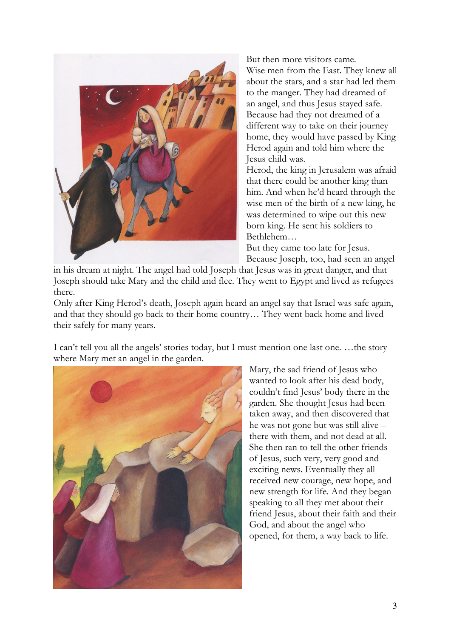

But then more visitors came. Wise men from the East. They knew all about the stars, and a star had led them to the manger. They had dreamed of an angel, and thus Jesus stayed safe. Because had they not dreamed of a different way to take on their journey home, they would have passed by King Herod again and told him where the Jesus child was.

Herod, the king in Jerusalem was afraid that there could be another king than him. And when he'd heard through the wise men of the birth of a new king, he was determined to wipe out this new born king. He sent his soldiers to Bethlehem…

But they came too late for Jesus. Because Joseph, too, had seen an angel

in his dream at night. The angel had told Joseph that Jesus was in great danger, and that Joseph should take Mary and the child and flee. They went to Egypt and lived as refugees there.

Only after King Herod's death, Joseph again heard an angel say that Israel was safe again, and that they should go back to their home country… They went back home and lived their safely for many years.

I can't tell you all the angels' stories today, but I must mention one last one. …the story where Mary met an angel in the garden.



Mary, the sad friend of Jesus who wanted to look after his dead body, couldn't find Jesus' body there in the garden. She thought Jesus had been taken away, and then discovered that he was not gone but was still alive – there with them, and not dead at all. She then ran to tell the other friends of Jesus, such very, very good and exciting news. Eventually they all received new courage, new hope, and new strength for life. And they began speaking to all they met about their friend Jesus, about their faith and their God, and about the angel who opened, for them, a way back to life.